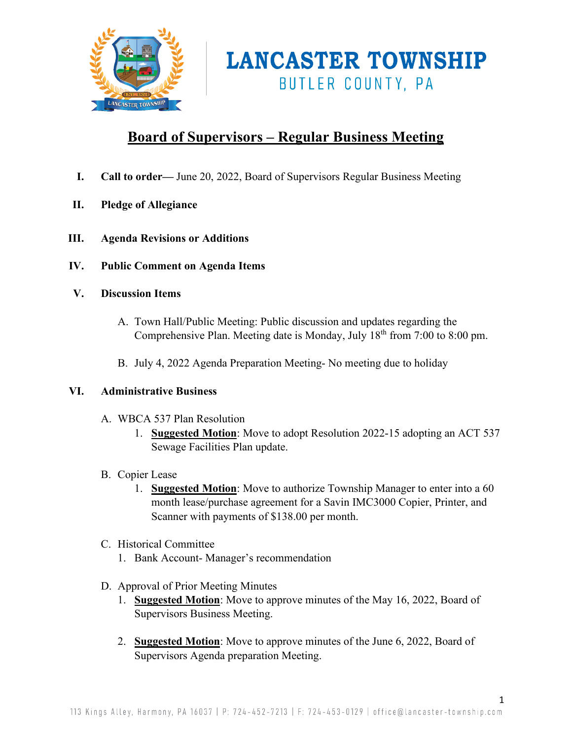

### **Board of Supervisors – Regular Business Meeting**

- **I. Call to order—** June 20, 2022, Board of Supervisors Regular Business Meeting
- **II. Pledge of Allegiance**
- **III. Agenda Revisions or Additions**
- **IV. Public Comment on Agenda Items**
- **V. Discussion Items** 
	- A. Town Hall/Public Meeting: Public discussion and updates regarding the Comprehensive Plan. Meeting date is Monday, July  $18<sup>th</sup>$  from 7:00 to 8:00 pm.
	- B. July 4, 2022 Agenda Preparation Meeting- No meeting due to holiday

### **VI. Administrative Business**

- A. WBCA 537 Plan Resolution
	- 1. **Suggested Motion**: Move to adopt Resolution 2022-15 adopting an ACT 537 Sewage Facilities Plan update.
- B. Copier Lease
	- 1. **Suggested Motion**: Move to authorize Township Manager to enter into a 60 month lease/purchase agreement for a Savin IMC3000 Copier, Printer, and Scanner with payments of \$138.00 per month.
- C. Historical Committee
	- 1. Bank Account- Manager's recommendation
- D. Approval of Prior Meeting Minutes
	- 1. **Suggested Motion**: Move to approve minutes of the May 16, 2022, Board of Supervisors Business Meeting.
	- 2. **Suggested Motion**: Move to approve minutes of the June 6, 2022, Board of Supervisors Agenda preparation Meeting.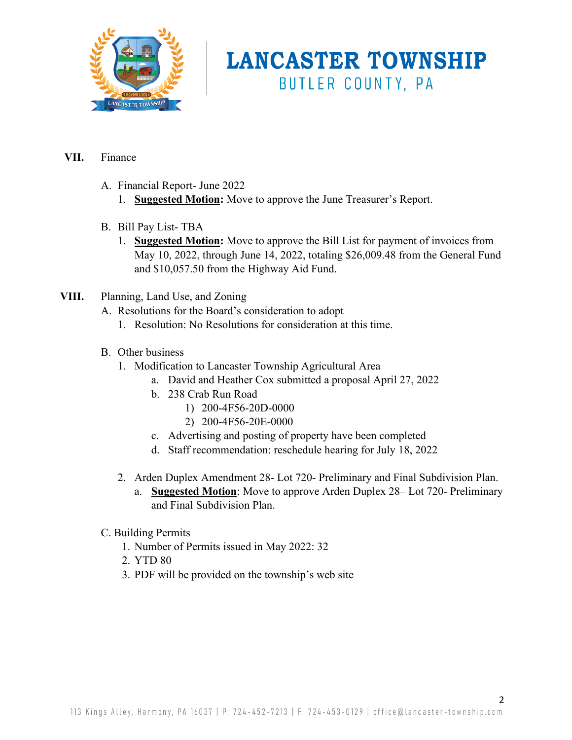

### **VII.** Finance

- A. Financial Report- June 2022
	- 1. **Suggested Motion:** Move to approve the June Treasurer's Report.
- B. Bill Pay List- TBA
	- 1. **Suggested Motion:** Move to approve the Bill List for payment of invoices from May 10, 2022, through June 14, 2022, totaling \$26,009.48 from the General Fund and \$10,057.50 from the Highway Aid Fund.
- **VIII.** Planning, Land Use, and Zoning
	- A. Resolutions for the Board's consideration to adopt
		- 1. Resolution: No Resolutions for consideration at this time.
	- B. Other business
		- 1. Modification to Lancaster Township Agricultural Area
			- a. David and Heather Cox submitted a proposal April 27, 2022
			- b. 238 Crab Run Road
				- 1) 200-4F56-20D-0000
				- 2) 200-4F56-20E-0000
			- c. Advertising and posting of property have been completed
			- d. Staff recommendation: reschedule hearing for July 18, 2022
		- 2. Arden Duplex Amendment 28- Lot 720- Preliminary and Final Subdivision Plan.
			- a. **Suggested Motion**: Move to approve Arden Duplex 28– Lot 720- Preliminary and Final Subdivision Plan.
	- C. Building Permits
		- 1. Number of Permits issued in May 2022: 32
		- 2. YTD 80
		- 3. PDF will be provided on the township's web site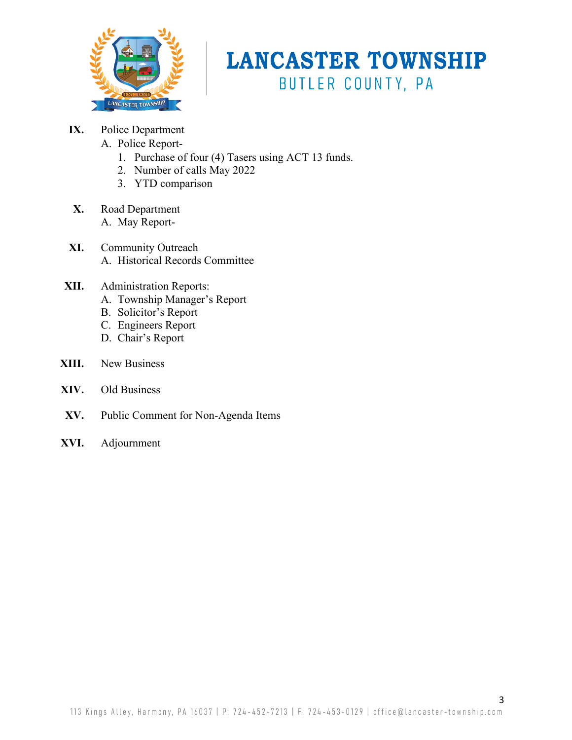

- **IX.** Police Department
	- A. Police Report-
		- 1. Purchase of four (4) Tasers using ACT 13 funds.
		- 2. Number of calls May 2022
		- 3. YTD comparison
- **X.** Road Department A. May Report-
- **XI.** Community Outreach A. Historical Records Committee
- **XII.** Administration Reports:
	- A. Township Manager's Report
	- B. Solicitor's Report
	- C. Engineers Report
	- D. Chair's Report
- **XIII.** New Business
- **XIV.** Old Business
- **XV.** Public Comment for Non-Agenda Items
- **XVI.** Adjournment